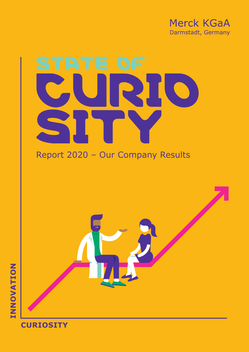

# STATE OF Curio SITY

## Report 2020 – Our Company Results



## **Curiosity**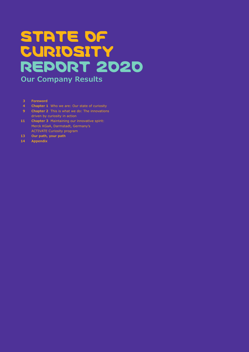# STATE OF **CURIOSITY** RepoRt 2020 **Our Company Results**

- **3 Foreword**
- **4 Chapter 1** Who we are: Our state of curiosity
- **9 Chapter 2** This is what we do: The innovations driven by curiosity in action
- **11 Chapter 3** Maintaining our innovative spirit: Merck KGaA, Darmstadt, Germany's ACTIVATE Curiosity program
- **13 Our path, your path**
- **14 Appendix**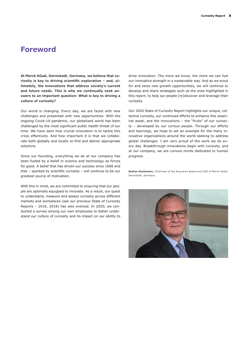## **Foreword**

**At Merck KGaA, Darmstadt, Germany, we believe that curiosity is key to driving scientific exploration – and, ultimately, the innovations that address society's current and future needs. This is why we continually seek answers to an important question: What is key to driving a culture of curiosity?** 

Our world is changing. Every day, we are faced with new challenges and presented with new opportunities. With the ongoing Covid-19 pandemic, our globalized world has been challenged by the most significant public health threat of our time. We have seen how crucial innovation is to tackle this crisis effectively. And how important it is that we collaborate both globally and locally to find and deliver appropriate solutions.

Since our founding, everything we do at our company has been fueled by a belief in science and technology as forces for good. A belief that has driven our success since 1668 and that – sparked by scientific curiosity – will continue to be our greatest source of motivation.

With this in mind, we are committed to ensuring that our people are optimally equipped to innovate. As a result, our quest to understand, measure and assess curiosity across different markets and workplaces (see our previous State of Curiosity Reports – 2016, 2018) has also evolved. In 2020, we conducted a survey among our own employees to better understand our culture of curiosity and its impact on our ability to

drive innovation. The more we know, the more we can fuel our innovative strength in a sustainable way. And as we scout for and seize new growth opportunities, we will continue to develop and share strategies such as the ones highlighted in this report, to help our people (re)discover and leverage their curiosity.

Our 2020 State of Curiosity Report highlights our unique, collective curiosity, our continued efforts to enhance this essential asset, and the innovations – the "fruits" of our curiosity – developed by our curious people. Through our efforts and learnings, we hope to set an example for the many innovative organizations around the world seeking to address global challenges. I am very proud of the work we do every day. Breakthrough innovations begin with curiosity, and at our company, we are curious minds dedicated to human progress.

**Stefan Oschmann**, Chairman of the Executive Board and CEO of Merck KGaA, Darmstadt, Germany

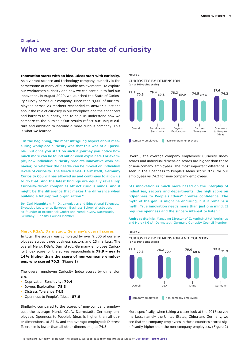## **Chapter 1 Who we are: Our state of curiosity**

**Innovation starts with an idea. Ideas start with curiosity.** As a vibrant science and technology company, curiosity is the cornerstone of many of our notable achievements. To explore our workforce's curiosity and how we can continue to fuel our innovation, in August 2020, we launched the State of Curiosity Survey across our company. More than 9,000 of our employees across 23 markets responded to answer questions about the role of curiosity in our workplace and the enhancers and barriers to curiosity, and to help us understand how we compare to the outside.<sup>1</sup> Our results reflect our unique culture and ambition to become a more curious company. This is what we learned...

**"In the beginning, the most intriguing aspect about measuring workplace curiosity was that this was at all possible. But once you start on such a journey you notice how much more can be found out or even explained. For example, how individual curiosity predicts innovative work behavior, or whether the needle can be moved on individual levels of curiosity. The Merck KGaA, Darmstadt, Germany Curiosity Council has allowed us and continues to allow us to do that. And the latest findings are equally revealing: Curiosity-driven companies attract curious minds. And it might be the difference that makes the difference when building a futureproof organization."**

**[Dr. Carl Naughton](https://www.linkedin.com/in/dr-carl-naughton-8b8656143/)**, Ph.D., Linguistics and Educational Sciences, Executive Lecturer at European Business School Wiesbaden, co-founder of Braincheck GmbH and Merck KGaA, Darmstadt, Germany Curiosity Council Member

#### **Merck KGaA, Darmstadt, Germany's overall scores**

In total, the survey was completed by over 9,000 of our employees across three business sectors and 23 markets. The overall Merck KGaA, Darmstadt, Germany employee Curiosity Index score for the survey respondents is **79.9 – nearly 14% higher than the score of non-company employees, who scored 70.3.** (Figure 1)

The overall employee Curiosity Index scores by dimension are:

- Deprivation Sensitivity: **79.4**
- Joyous Exploration: **78.3**
- Distress Tolerance **74.5**
- Openness to People's Ideas: **87.6**

Similarly, compared to the scores of non-company employees, the average Merck KGaA, Darmstadt, Germany employee's Openness to People's Ideas is higher than all other dimensions, at 87.6, and the average employee's Distress Tolerance is lower than all other dimensions, at 74.5.





Overall, the average company employees' Curiosity Index scores and individual dimension scores are higher than those of non-comany employees. The most important difference is seen in the Openness to People's Ideas score: 87.6 for our employees vs 74.2 for non-company employees.

**"As innovation is much more based on the interplay of industries, sectors and departments, the high score on "Openness to People's Ideas" creates confidence. The myth of the genius might be enduring, but it remains a myth. True innovation needs more than just one mind. It requires openness and the sincere interest to listen."**

**[Andreas Steinle,](https://www.linkedin.com/in/andreas-steinle-524640137/)** Managing Director of Zukunftsinstitut Workshop and Merck KGaA, Darmstadt, Germany Curiosity Council Member



More specifically, when taking a closer look at the 2018 survey markets, namely the United States, China and Germany, we see that the company employees in these countries scored significantly higher than the non-company employees. (Figure 2)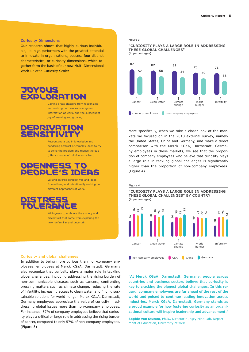#### **Curiosity Dimensions**

Our research shows that highly curious individuals, i.e. high performers with the greatest potential to innovate in organizations, possess four distinct characteristics, or curiosity dimensions, which together form the basis of our new Multi-Dimensional Work-Related Curiosity Scale:

## JOYOUS EXPLORATION

Gaining great pleasure from recognizing and seeking out new knowledge and information at work, and the subsequent joy of learning and growing.

### DEPRIVATION SENSITIVIT

Recognizing a gap in knowledge and pondering abstract or complex ideas to try to solve the problem and reduce the gap (offers a sense of relief when solved).

## OPENNESS TO PEOPLE'S IDEAS

Valuing diverse perspectives and ideas from others, and intentionally seeking out different approaches at work.

DISTRESS TOLERANCE

> Willingness to embrace the anxiety and discomfort that come from exploring the new, unfamiliar and uncertain.

#### **Curiosity and global challenges**

In addition to being more curious than non-company employees, employees at Merck KGaA, Darmstadt, Germany also recognize that curiosity plays a major role in tackling global challenges, including addressing the rising burden of non-communicable diseases such as cancers, confronting pressing matters such as climate change, reducing the rate of infertility, increasing access to clean water, and finding sustainable solutions for world hunger. Merck KGaA, Darmstadt, Germany employees appreciate the value of curiosity in addressing global issues more than non-company employees. For instance, 87% of company employees believe that curiosity plays a critical or large role in addressing the rising burden of cancer, compared to only 57% of non-company employees. (Figure 3)

#### **Figure 3**

**"CURIOSITY PLAYS A LARGE ROLE IN ADDRESSING THESE GLOBAL CHALLENGES" (in percentages)**



More specifically, when we take a closer look at the markets we focused on in the 2018 external survey, namely the United States, China and Germany, and make a direct comparison with the Merck KGaA, Darmstadt, Germany employees in these markets, we see that the proportion of company employees who believe that curiosity plays a large role in tackling global challenges is significantly higher than the proportion of non-company employees. (Figure 4)

**"CURIOSITY PLAYS A LARGE ROLE IN ADDRESSING THESE GLOBAL CHALLENGES" BY COUNTRY (in percentages)**



**"At Merck KGaA, Darmstadt, Germany, people across countries and business sectors believe that curiosity is key to cracking the biggest global challenges. In this regard, company employees are far ahead of the rest of the world and poised to continue leading innovation across industries. Merck KGaA, Darmstadt, Germany stands as a proud example for how fostering curiosity as an organizational culture will inspire leadership and advancement."** 

**[Sophie von Stumm](https://www.york.ac.uk/education/our-staff/academic/sophie-vonstumm/)**, Ph.D., Director Hungry Mind Lab, Department of Education, University of York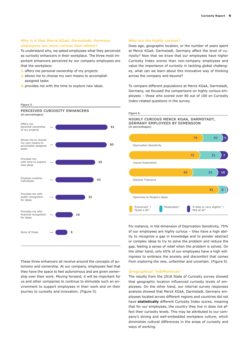#### **Why is it that Merck KGaA, Darmstadt, Germany employees are more curious than others?**

To understand why, we asked employees what they perceived as curiosity enhancers in their workplace. The three most important enhancers perceived by our company employees are that the workplace:

**1.** offers me personal ownership of my projects

**Figure 5**

- **2.** allows me to choose my own means to accomplish assigned tasks
- **3.** provides me with the time to explore new ideas.

#### **Who are the highly curious?**

Does age, geographic location, or the number of years spent at Merck KGaA, Darmstadt, Germany affect the level of curiosity? Now that we know that our employees have higher Curiosity Index scores than non-company employees and value the importance of curiosity in tackling global challenges, what can we learn about this innovative way of thinking across the company and beyond?

To compare different populations at Merck KGaA, Darmstadt, Germany, we focused the comparisons on highly curious employees – those who scored over 80 out of 100 on Curiosity Index-related questions in the survey.



These three enhancers all revolve around the concepts of autonomy and ownership. At our company, employees feel that they have the space to feel autonomous and are given ownership over their work. Moving forward, it will be important for us and other companies to continue to stimulate such an environment to support employees in their work and on their journey to curiosity and innovation. (Figure 5)

'A little or very slightly" / "Not at all" "Extremely" / Call "Moderately"<br>"Quite a bit" Deprivation Sensitivity Joyous Exploration Distress Tolerance Openness to People's Ideas **75 20 5 72 21 7 65 25 10 91 8 Figure 6 HIGHLY CURIOUS MERCK KGAA, DARMSTADT, GERMANY EMPLOYEES BY DIMENSION 61 (in percentages)**

> For instance, in the dimension of Deprivation Sensitivity, 75% of our employees are highly curious – they have a high ability to recognize a gap in knowledge and to ponder abstract or complex ideas to try to solve the problem and reduce the gap, feeling a sense of relief when the problem is solved. On the other hand, only 65% of our employees have a high willingness to embrace the anxiety and discomfort that comes from exploring the new, unfamiliar and uncertain. (Figure 6)

#### **Geographical "indifferences"**

The results from the 2018 State of Curiosity survey showed that geographic location influenced curiosity levels of employees. On the other hand, our internal survey responses analysis showed that Merck KGaA, Darmstadt, Germany employees located across different regions and countries did not have **statistically** different Curiosity Index scores, meaning that for our employees, the country they live in does not affect their curiosity levels. This may be attributed to our company's strong and well-embedded workplace culture, which diminishes cultural differences in the areas of curiosity and ways of working.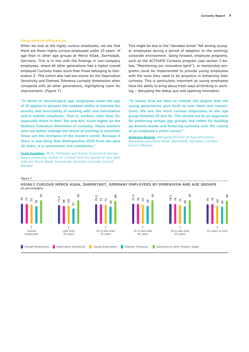#### **Generational differences**

When we look at the highly curious employees, we see that there are fewer highly curious employees under 25 years of age than in other age groups at Merck KGaA, Darmstadt, Germany. This is in line with the findings in non-company employees, where all other generations had a higher overall employee Curiosity Index score than those belonging to Generation Z. This cohort also had low scores for the Deprivation Sensitivity and Distress Tolerance curiosity dimensions when compared with all other generations, highlighting room for improvement. (Figure 7)

**"In terms of chronological age, employees under the age of 25 appear to possess the weakest ability to tolerate the anxiety and uncertainty of working with new information and in volatile situations. That is, workers older than 25, especially those in their 30s and 40s, score higher on the Distress Tolerance dimension of curiosity. Those workers who can better manage the stress of working in uncertain times are the linchpins of the modern world. Because if there is one thing that distinguishes 2020 from the past 30 years, it is uncertainty and complexity."** 

**[Todd Kashdan](https://www.linkedin.com/in/toddkashdan/)**, Ph.D., Professor and Senior Scientist at George Mason University, Author of *Curious?* and T*he Upside of Your Dark Side* and Merck KGaA, Darmstadt, Germany Curiosity Council Member

This might be due to the "elevated stress" felt among younger employees during a period of adaption to the working/ corporate environment. Going forward, employee programs, such as the ACTIVATE Curiosity program (see section 3 below, "Maintaining our innovative spirit"), or mentorship programs could be implemented to provide young employees with the tools they need to be proactive in enhancing their curiosity. This is particularly important as young employees have the ability to bring about fresh ways of thinking or working – disrupting the status quo and sparking innovation.

**"It seems that we have to rethink the dogma that the young generations give birth to new ideas and innovations. We see the most curious employees in the age group between 35 and 55. This should not be an argument for preferring certain age groups, but rather for building up diverse teams and fostering curiosity over the course of an employee's entire career."** 

**[Andreas Steinle](https://www.linkedin.com/in/andreas-steinle-524640137/)**, Managing Director of Zukunftsinstitut Workshop and Merck KGaA, Darmstadt, Germany Curiosity Council Member

#### **Figure 7**

Overall Dimensions Deprivation Sensitivity Joyous Exploration Distress Tolerance Openness to other People's Ideas Overall employees Less than 25 years 25 to less than 35 years 35 to less than 45 years 45 to less than 55 years 55 years or over **77.3 76 73 68 92 76.5 76 72** <u>ي</u> **92 75 76 69 65 90 75.3 74 73 65 89 71.5 68 69 57 92 76 75 72 66 91**

**HIGHLY CURIOUS MERCK KGAA, DARMSTADT, GERMANY EMPLOYEES BY DIMENSION AND AGE GROUPS (in percentages)**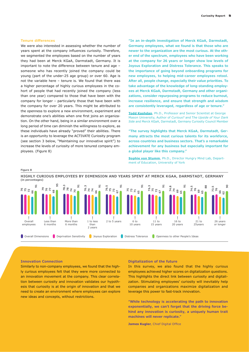#### **Tenure differences**

We were also interested in assessing whether the number of years spent at the company influences curiosity. Therefore, we segmented the employees based on the number of years they had been at Merck KGaA, Darmstadt, Germany. It is important to note the difference between tenure and age – someone who has recently joined the company could be young (part of the under-25 age group) or over 60. Age is not the variable here – tenure is. We found that there was a higher percentage of highly curious employees in the cohort of people that had recently joined the company (less than one year) compared to those that have been with the company for longer – particularly those that have been with the company for over 20 years. This might be attributed to the openness to explore a new environment, experiment and demonstrate one's abilities when one first joins an organization. On the other hand, being in a similar environment over a long period of time can diminish the willingness to explore, as these individuals have already "proved" their abilities. There is an opportunity to leverage the ACTIVATE Curiosity program (see section 3 below, "Maintaining our innovative spirit") to increase the levels of curiosity of more tenured company employees. (Figure 8)

**"In an in-depth investigation of Merck KGaA, Darmstadt, Germany employees, what we found is that those who are newer to the organization are the most curious. At the other end of the spectrum, employees who have been working at the company for 26 years or longer show low levels of Joyous Exploration and Distress Tolerance. This speaks to the importance of going beyond onboarding programs for new employees, to helping mid-career employees retool. After all, people change, especially their value priorities. To take advantage of the knowledge of long-standing employees at Merck KGaA, Darmstadt, Germany and other organizations, consider repurposing programs to reduce burnout, increase resilience, and ensure that strength and wisdom are consistently leveraged, regardless of age or tenure."** 

**[Todd Kashdan](https://www.linkedin.com/in/toddkashdan/)**, Ph.D., Professor and Senior Scientist at George Mason University, Author of *Curious?* and T*he Upside of Your Dark Side* and Merck KGaA, Darmstadt, Germany Curiosity Council Member

**"The survey highlights that Merck KGaA, Darmstadt, Germany attracts the most curious talents for its workforce, across countries and business sectors. That's a remarkable achievement for any business but especially important for a global player like this company."** 

**[Sophie von Stumm](https://www.york.ac.uk/education/our-staff/academic/sophie-vonstumm/)**, Ph.D., Director Hungry Mind Lab, Department of Education, University of York

#### **Figure 8**

**HIGHLY CURIOUS EMPLOYEES BY DIMENSION AND YEARS SPENT AT MERCK KGAA, DARMSTADT, GERMANY (in percentages)**



#### **Innovation Connection**

Similarly to non-company employees, we found that the highly curious employees felt that they were more connected to an innovation movement at the company. This clear correlation between curiosity and innovation validates our hypothesis that curiosity is at the origin of innovation and that we need to create an environment where employees can explore new ideas and concepts, without restrictions.

#### **Digitalization of the future**

In this survey, we also found that the highly curious employees achieved higher scores on digitalization questions. This highlights the direct link between curiosity and digitalization. Stimulating employees' curiosity will inevitably help companies and organizations maximize digitalization and leverage this power to fast-track innovation.

**"While technology is accelerating the path to innovation exponentially, we can't forget that the driving force behind any innovation is curiosity, a uniquely human trait machines will never replicate."** 

**James Kugler**, Chief Digital Office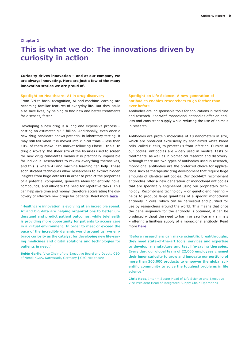#### **Chapter 2**

## **This is what we do: The innovations driven by curiosity in action**

**Curiosity drives innovation – and at our company we are always innovating. Here are just a few of the many innovation stories we are proud of.**

#### **Spotlight on Healthcare: AI in drug discovery**

From Siri to facial recognition, AI and machine learning are becoming familiar features of everyday life. But they could also save lives, by helping to find new and better treatments for diseases, faster.

Developing a new drug is a long and expensive process – costing an estimated \$2.6 billion. Additionally, even once a new drug candidate shows potential in laboratory testing, it may still fail when it is moved into clinical trials – less than 10% of them make it to market following Phase I trials. In drug discovery, the sheer size of the libraries used to screen for new drug candidates means it is practically impossible for individual researchers to review everything themselves, and this is where AI and machine learning can help. These sophisticated techniques allow researchers to extract hidden insights from huge datasets in order to predict the properties of a potential compound, generate ideas for entirely novel compounds, and alleviate the need for repetitive tasks. This can help save time and money, therefore accelerating the discovery of effective new drugs for patients. Read more **[here](https://www.emdgroup.com/en/research/science-space/envisioning-tomorrow/precision-medicine/generativeai.html)**.

**"Healthcare innovation is evolving at an incredible speed. AI and big data are helping organizations to better understand and predict patient outcomes, while telehealth is providing more opportunity for patients to access care in a virtual environment. In order to meet or exceed the pace of the incredibly dynamic world around us, we embrace curiosity as the catalyst for developing new life-saving medicines and digital solutions and technologies for patients in need."** 

**Belén Garijo**, Vice Chair of the Executive Board and Deputy CEO of Merck KGaA, Darmstadt, Germany | CEO Healthcare

#### **Spotlight on Life Science: A new generation of antibodies enables researchers to go farther than ever before**

Antibodies are indispensable tools for applications in medicine and research. ZooMAb® monoclonal antibodies offer an endless and consistent supply while reducing the use of animals in research.

Antibodies are protein molecules of 10 nanometers in size, which are produced exclusively by specialized white blood cells, called B cells, to protect us from infection. Outside of our bodies, antibodies are widely used in medical tests or treatments, as well as in biomedical research and discovery. Although there are two types of antibodies used in research, monoclonal antibodies are the preferred choice for applications such as therapeutic drug development that require large amounts of identical antibodies. Our ZooMAb® recombinant antibodies offer a new generation of monoclonal antibodies that are specifically engineered using our proprietary technology. Recombinant technology – or genetic engineering – helps to produce large quantities of a specific monoclonal antibody in cells, which can be harvested and purified for use by researchers around the world. This means that once the gene sequence for the antibody is obtained, it can be produced without the need to harm or sacrifice any animals – offering a limitless supply of a monoclonal antibody. Read more **[here](https://www.emdgroup.com/en/research/science-space/envisioning-tomorrow/sdg/zoomab-antibodies.html)**.

**"Before researchers can make scientific breakthroughs, they need state-of-the-art tools, services and expertise to develop, manufacture and test life-saving therapies. Every day, our global team of 22,000 employees channel their inner curiosity to grow and innovate our portfolio of more than 300,000 products to empower the global scientific community to solve the toughest problems in life science."** 

**[Chris Ross](https://www.linkedin.com/in/chris-ross-050298b/)**, Interim Sector Head of Life Science and Executive Vice President Head of Integrated Supply Chain Operations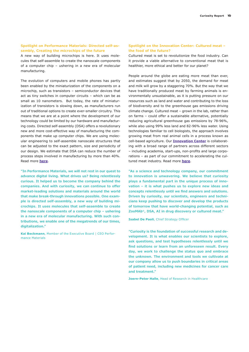#### **Spotlight on Performance Materials: Directed self-assembly, Creating the microchips of the future**

A new way of building microchips is here. It uses molecules that self-assemble to create the nanoscale components of a computer chip – ushering in a new era of molecular manufacturing.

The evolution of computers and mobile phones has partly been enabled by the miniaturization of the components on a microchip, such as transistors – semiconductor devices that act as tiny switches in computer circuits – which can be as small as 10 nanometers. But today, the rate of miniaturization of transistors is slowing down, as manufacturers run out of traditional options to create ever-smaller circuitry. This means that we are at a point where the development of our technology could be limited by our hardware and manufacturing costs. Directed self-assembly (DSA) offers a revolutionary new and more cost-effective way of manufacturing the components that make up computer chips. We are using molecular engineering to self-assemble nanoscale structures that can be adjusted to the exact pattern, size and periodicity of our design. We estimate that DSA can reduce the number of process steps involved in manufacturing by more than 40%. Read more **[here](https://www.emdgroup.com/en/research/science-space/envisioning-tomorrow/smarter-connected-world/dsa.html)**.

**"In Performance Materials, we will not rest in our quest to advance digital living. What drives us? Being relentlessly curious. It helped us to become the company behind the companies. And with curiosity, we can continue to offer market-leading solutions and materials around the world that make break-through innovations possible. One example is directed self-assembly, a new way of building microchips. It uses molecules that self-assemble to create the nanoscale components of a computer chip – ushering in a new era of molecular manufacturing. With such contributions, we enable one of the megatrends of our times, digitalization."** 

**Kai Beckmann**, Member of the Executive Board | CEO Performance Materials

#### **Spotlight on the Innovation Center: Cultured meat – the food of the future?**

Cultured meat is set to revolutionize the food industry. Can it provide a viable alternative to conventional meat that is healthier, more ethical and better for our planet?

People around the globe are eating more meat than ever, and estimates suggest that by 2050, the demand for meat and milk will grow by a staggering 70%. But the way that we have traditionally produced meat by farming animals is environmentally unsustainable, as it is putting pressure on our resources such as land and water and contributing to the loss of biodiversity and to the greenhouse gas emissions driving climate change. Cultured meat – grown in the lab, rather than on farms – could offer a sustainable alternative, potentially reducing agricultural greenhouse gas emissions by 78-96%, while also using 99% less land and 82-96% less water. Using technologies familiar to cell biologists, the approach involves growing meat from real animal cells in a process known as cell-based agriculture. Our **[Innovation Center](https://www.emdgroup.com/en/research/innovation-center.html)** is collaborating with a broad range of partners across different sectors – including academia, start-ups, non-profits and large corporations – as part of our commitment to accelerating the cultured meat industry. Read more **[here](https://www.emdgroup.com/en/research/science-space/envisioning-tomorrow/scarcity-of-resources/cleanmeat.html)**.

**"As a science and technology company, our commitment to innovation is unwavering. We believe that curiosity plays a fundamental part in the unique process of innovation – it is what pushes us to explore new ideas and concepts relentlessly until we find answers and solutions. Driven by curiosity, our scientists, engineers and technicians keep pushing to discover and develop the products of tomorrow that have world-changing potential, such as ZooMAb®, DSA, AI in drug discovery or cultured meat."**

**Isabel De Paoli**, Chief Strategy Officer

**"Curiosity is the foundation of successful research and development. It is what enables our scientists to explore, ask questions, and test hypotheses relentlessly until we find solutions or learn from an unforeseen result. Every day, we work to challenge the status quo and embrace the unknown. The environment and tools we cultivate at our company allow us to push boundaries in critical areas of patient need, including new medicines for cancer care and treatment."** 

**Joern-Peter Halle**, Head of Research in Healthcare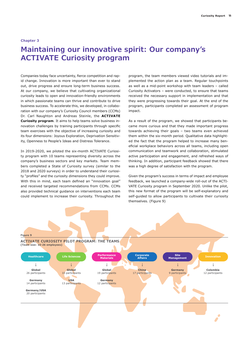#### **Chapter 3**

## **Maintaining our innovative spirit: Our company's ACTIVATE Curiosity program**

Companies today face uncertainty, fierce competition and rapid change. Innovation is more important than ever to stand out, drive progress and ensure long-term business success. At our company, we believe that cultivating organizational curiosity leads to open and innovation-friendly environments in which passionate teams can thrive and contribute to drive business success. To accelerate this, we developed, in collaboration with our company's Curiosity Council members (CCMs) Dr. Carl Naughton and Andreas Steinle, the **ACTIVATE Curiosity program**. It aims to help teams solve business innovation challenges by training participants through specific team exercises with the objective of increasing curiosity and its four dimensions: Joyous Exploration, Deprivation Sensitivity, Openness to People's Ideas and Distress Tolerance.

In 2019-2020, we piloted the six-month ACTIVATE Curiosity program with 10 teams representing diversity across the company's business sectors and key markets. Team members completed a State of Curiosity survey (similar to the 2018 and 2020 surveys) in order to understand their curiosity "profiles" and the curiosity dimensions they could improve. With this in mind, each team defined an "innovation goal" and received targeted recommendations from CCMs. CCMs also provided technical guidance on interventions each team could implement to increase their curiosity. Throughout the

program, the team members viewed video tutorials and implemented the action plan as a team. Regular touchpoints as well as a mid-point workshop with team leaders – called Curiosity Activators – were conducted, to ensure that teams received the necessary support in implementation and that they were progressing towards their goal. At the end of the program, participants completed an assessment of program impact.

As a result of the program, we showed that participants became more curious and that they made important progress towards achieving their goals – two teams even achieved them within the six-month period. Qualitative data highlighted the fact that the program helped to increase many beneficial workplace behaviors across all teams, including open communication and teamwork and collaboration, stimulated active participation and engagement, and refreshed ways of thinking. In addition, participant feedback showed that there was a high degree of satisfaction with the program.

Given the program's success in terms of impact and employee feedback, we launched a company-wide roll-out of the ACTI-VATE Curiosity program in September 2020. Unlike the pilot, this new format of the program will be self-explanatory and self-guided to allow participants to cultivate their curiosity themselves. (Figure 9)

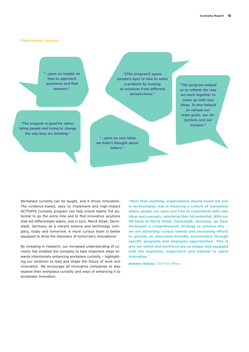#### **Participants' quotes:**

**"…gave us insight on how to approach questions and find answers."**

**"[The program] opens people's eyes to how to solve a problem by looking at solutions from different perspectives."** 

**"The program is good for stimulating people and trying to change the way they are thinking."**

> **"…gave us new ideas we hadn't thought about before."**

**"The program helped us to rethink the way we work together to come up with new ideas. It also helped to refresh our team goals, our objectives and our mission."**

Workplace curiosity can be taught, and it drives innovation. The evidence-based, easy to implement and high-impact ACTIVATE Curiosity program can help unlock teams' full potential to go the extra mile and to find innovative solutions that will differentiate teams, and in turn, Merck KGaA, Darmstadt, Germany as a vibrant science and technology company, today and tomorrow. A more curious team is better equipped to drive the discovery of tomorrow's innovations!

By investing in research, our increased understanding of curiosity has enabled the company to take important steps towards intentionally enhancing workplace curiosity – highlighting our ambition to lead and shape the future of work and innovation. We encourage all innovative companies to also explore their workplace curiosity and ways of enhancing it to accelerate innovation.

**"More than anything, organizations should invest not just in technologies, but in fostering a culture of innovation where people are open and free to experiment with new ideas and concepts, unlocking their full potential. With our HR team at Merck KGaA, Darmstadt, Germany, we have developed a comprehensive strategy to achieve this – we are attracting curious talents and increasing efforts to provide an innovation-friendly environment through specific programs and employee opportunities. This is why our talent and workforce are so unique and equipped with the expertise, experience and interest to spark innovation."** 

**Dietmar Eidens**, Chief HR Officer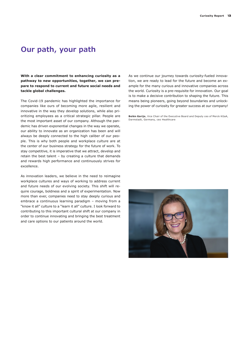## **Our path, your path**

**With a clear commitment to enhancing curiosity as a pathway to new opportunities, together, we can prepare to respond to current and future social needs and tackle global challenges.** 

The Covid-19 pandemic has highlighted the importance for companies like ours of becoming more agile, resilient and innovative in the way they develop solutions, while also prioritizing employees as a critical strategic pillar. People are the most important asset of our company. Although the pandemic has driven exponential changes in the way we operate, our ability to innovate as an organization has been and will always be deeply connected to the high caliber of our people. This is why both people and workplace culture are at the center of our business strategy for the future of work. To stay competitive, it is imperative that we attract, develop and retain the best talent – by creating a culture that demands and rewards high performance and continuously strives for excellence.

As innovation leaders, we believe in the need to reimagine workplace cultures and ways of working to address current and future needs of our evolving society. This shift will require courage, boldness and a spirit of experimentation. Now more than ever, companies need to stay deeply curious and embrace a continuous learning paradigm – moving from a "know it all" culture to a "learn it all" culture. I look forward to contributing to this important cultural shift at our company in order to continue innovating and bringing the best treatment and care options to our patients around the world.

As we continue our journey towards curiosity-fueled innovation, we are ready to lead for the future and become an example for the many curious and innovative companies across the world. Curiosity is a pre-requisite for innovation. Our goal is to make a decisive contribution to shaping the future. This means being pioneers, going beyond boundaries and unlocking the power of curiosity for greater success at our company!

**Belén Garijo**, Vice Chair of the Executive Board and Deputy ceo of Merck KGaA, Darmstadt, Germany, ceo Healthcare

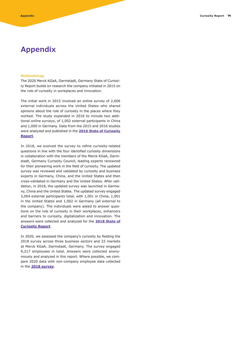## **Appendix**

#### **Methodology**

The 2020 Merck KGaA, Darmstadt, Germany State of Curiosity Report builds on research the company initiated in 2015 on the role of curiosity in workplaces and innovation.

The initial work in 2015 involved an online survey of 2,606 external individuals across the United States who shared opinions about the role of curiosity in the places where they worked. The study expanded in 2016 to include two additional online surveys, of 1,002 external participants in China and 1,000 in Germany. Data from the 2015 and 2016 studies were analyzed and published in the **[2016 State of Curiosity](https://www.emdgroup.com/company/us/curiosity-full-report-us.pdf) [Report](https://www.emdgroup.com/company/us/curiosity-full-report-us.pdf)**.

In 2018, we evolved the survey to refine curiosity-related questions in line with the four identified curiosity dimensions in collaboration with the members of the Merck KGaA, Darmstadt, Germany Curiosity Council, leading experts renowned for their pioneering work in the field of curiosity. The updated survey was reviewed and validated by curiosity and business experts in Germany, China, and the United States and then cross-validated in Germany and the United States. After validation, in 2018, the updated survey was launched in Germany, China and the United States. The updated survey engaged 3,004 external participants total, with 1,001 in China, 1,001 in the United States and 1,002 in Germany (all external to the company). The individuals were asked to answer questions on the role of curiosity in their workplaces, enhancers and barriers to curiosity, digitalization and innovation. The answers were collected and analyzed for the **[2018 State of](https://www.emdgroup.com/company/us/State-of-Curiosity-Report-2018-USA-CAN.pdf)  [Curiosity Report](https://www.emdgroup.com/company/us/State-of-Curiosity-Report-2018-USA-CAN.pdf)**.

In 2020, we assessed the company's curiosity by fielding the 2018 survey across three business sectors and 23 markets at Merck KGaA, Darmstadt, Germany. The survey engaged 9,217 employees in total. Answers were collected anonymously and analyzed in this report. Where possible, we compare 2020 data with non-company employee data collected in the **[2018 survey](https://www.emdgroup.com/company/us/State-of-Curiosity-Report-2018-USA-CAN.pdf)**.